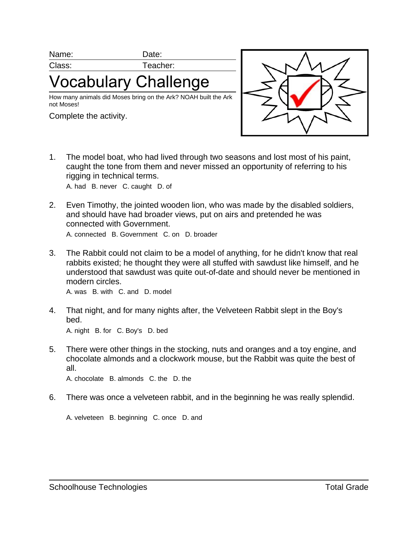Name: Date:

Class: Teacher:

'ocabulary Challenge

How many animals did Moses bring on the Ark? NOAH built the Ark not Moses!

Complete the activity.



1. The model boat, who had lived through two seasons and lost most of his paint, caught the tone from them and never missed an opportunity of referring to his rigging in technical terms.

A. had B. never C. caught D. of

- 2. Even Timothy, the jointed wooden lion, who was made by the disabled soldiers, and should have had broader views, put on airs and pretended he was connected with Government. A. connected B. Government C. on D. broader
- 3. The Rabbit could not claim to be a model of anything, for he didn't know that real rabbits existed; he thought they were all stuffed with sawdust like himself, and he understood that sawdust was quite out-of-date and should never be mentioned in modern circles.

A. was B. with C. and D. model

- 4. That night, and for many nights after, the Velveteen Rabbit slept in the Boy's bed. A. night B. for C. Boy's D. bed
- 5. There were other things in the stocking, nuts and oranges and a toy engine, and chocolate almonds and a clockwork mouse, but the Rabbit was quite the best of all.

A. chocolate B. almonds C. the D. the

6. There was once a velveteen rabbit, and in the beginning he was really splendid.

A. velveteen B. beginning C. once D. and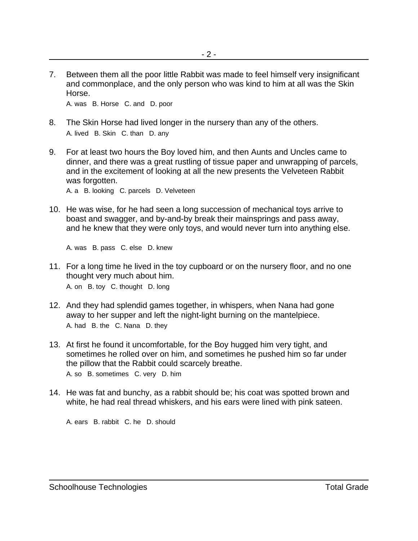7. Between them all the poor little Rabbit was made to feel himself very insignificant and commonplace, and the only person who was kind to him at all was the Skin Horse.

A. was B. Horse C. and D. poor

- 8. The Skin Horse had lived longer in the nursery than any of the others. A. lived B. Skin C. than D. any
- 9. For at least two hours the Boy loved him, and then Aunts and Uncles came to dinner, and there was a great rustling of tissue paper and unwrapping of parcels, and in the excitement of looking at all the new presents the Velveteen Rabbit was forgotten.

A. a B. looking C. parcels D. Velveteen

10. He was wise, for he had seen a long succession of mechanical toys arrive to boast and swagger, and by-and-by break their mainsprings and pass away, and he knew that they were only toys, and would never turn into anything else.

A. was B. pass C. else D. knew

- 11. For a long time he lived in the toy cupboard or on the nursery floor, and no one thought very much about him. A. on B. toy C. thought D. long
- 12. And they had splendid games together, in whispers, when Nana had gone away to her supper and left the night-light burning on the mantelpiece. A. had B. the C. Nana D. they
- 13. At first he found it uncomfortable, for the Boy hugged him very tight, and sometimes he rolled over on him, and sometimes he pushed him so far under the pillow that the Rabbit could scarcely breathe. A. so B. sometimes C. very D. him
- 14. He was fat and bunchy, as a rabbit should be; his coat was spotted brown and white, he had real thread whiskers, and his ears were lined with pink sateen.

A. ears B. rabbit C. he D. should